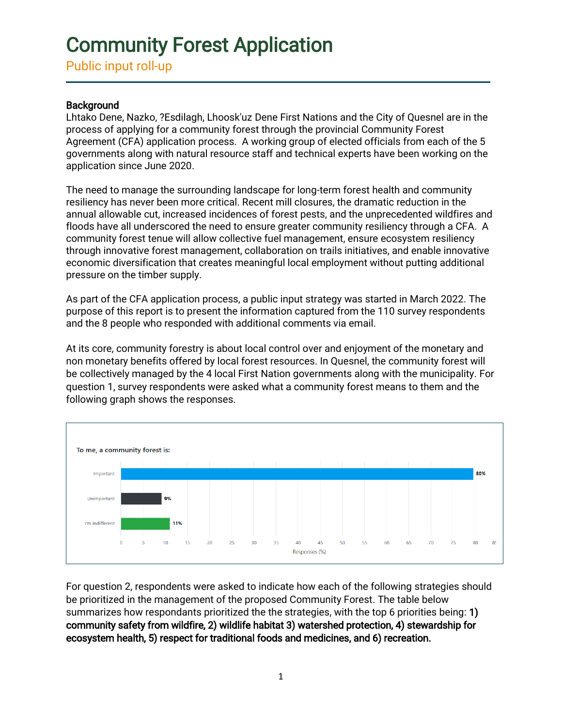Public input roll-up

### **Background**

Lhtako Dene, Nazko, ?Esdilagh, Lhoosk'uz Dene First Nations and the City of Quesnel are in the process of applying for a community forest through the provincial Community Forest Agreement (CFA) application process. A working group of elected officials from each of the 5 governments along with natural resource staff and technical experts have been working on the application since June 2020.

The need to manage the surrounding landscape for long-term forest health and community resiliency has never been more critical. Recent mill closures, the dramatic reduction in the annual allowable cut, increased incidences of forest pests, and the unprecedented wildfires and floods have all underscored the need to ensure greater community resiliency through a CFA. A community forest tenue will allow collective fuel management, ensure ecosystem resiliency through innovative forest management, collaboration on trails initiatives, and enable innovative economic diversification that creates meaningful local employment without putting additional pressure on the timber supply.

As part of the CFA application process, a public input strategy was started in March 2022. The purpose of this report is to present the information captured from the 110 survey respondents and the 8 people who responded with additional comments via email.

At its core, community forestry is about local control over and enjoyment of the monetary and non monetary benefits offered by local forest resources. In Quesnel, the community forest will be collectively managed by the 4 local First Nation governments along with the municipality. For question 1, survey respondents were asked what a community forest means to them and the following graph shows the responses.



For question 2, respondents were asked to indicate how each of the following strategies should be prioritized in the management of the proposed Community Forest. The table below summarizes how respondants prioritized the the strategies, with the top 6 priorities being: 1) community safety from wildfire, 2) wildlife habitat 3) watershed protection, 4) stewardship for ecosystem health, 5) respect for traditional foods and medicines, and 6) recreation.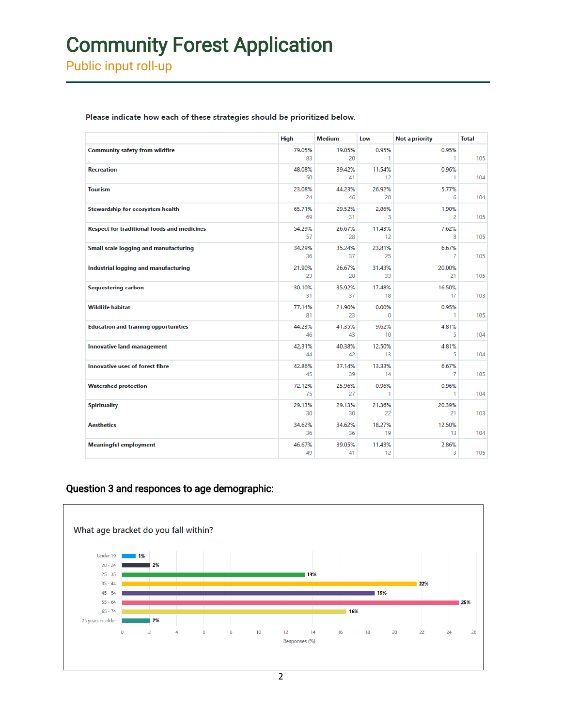Public input roll-up

|                                                    | <b>High</b>  | <b>Medium</b> | Low               | Not a priority | <b>Total</b> |
|----------------------------------------------------|--------------|---------------|-------------------|----------------|--------------|
| <b>Community safety from wildfire</b>              | 79.05%<br>83 | 19.05%<br>20  | 0.95%<br>1        | 0.95%<br>1     | 105          |
| <b>Recreation</b>                                  | 48.08%<br>50 | 39.42%<br>41  | 11.54%<br>12      | 0.96%<br>1     | 104          |
| <b>Tourism</b>                                     | 23.08%<br>24 | 44.23%<br>46  | 26.92%<br>28      | 5.77%<br>6     | 104          |
| Stewardship for ecosystem health                   | 65.71%<br>69 | 29.52%<br>31  | 2.86%<br>3        | 1.90%<br>2     | 105          |
| <b>Respect for traditional foods and medicines</b> | 54.29%<br>57 | 26.67%<br>28  | 11.43%<br>12      | 7.62%<br>8     | 105          |
| Small scale logging and manufacturing              | 34.29%<br>36 | 35.24%<br>37  | 23.81%<br>25      | 6.67%<br>7     | 105          |
| Industrial logging and manufacturing               | 21.90%<br>23 | 26.67%<br>28  | 31.43%<br>33      | 20.00%<br>21   | 105          |
| <b>Sequestering carbon</b>                         | 30.10%<br>31 | 35.92%<br>37  | 17.48%<br>18      | 16.50%<br>17   | 103          |
| <b>Wildlife habitat</b>                            | 77.14%<br>81 | 21.90%<br>23  | 0.00%<br>$\Omega$ | 0.95%<br>1     | 105          |
| <b>Education and training opportunities</b>        | 44.23%<br>46 | 41.35%<br>43  | 9.62%<br>10       | 4.81%<br>5     | 104          |
| <b>Innovative land management</b>                  | 42.31%<br>44 | 40.38%<br>42  | 12.50%<br>13      | 4.81%<br>5     | 104          |
| <b>Innovative uses of forest fibre</b>             | 42.86%<br>45 | 37.14%<br>39  | 13.33%<br>14      | 6.67%<br>7     | 105          |
| <b>Watershed protection</b>                        | 72.12%<br>75 | 25.96%<br>27  | 0.96%<br>1        | 0.96%<br>1     | 104          |
| <b>Spirituality</b>                                | 29.13%<br>30 | 29.13%<br>30  | 21.36%<br>22      | 20.39%<br>21   | 103          |
| <b>Aesthetics</b>                                  | 34.62%<br>36 | 34.62%<br>36  | 18.27%<br>19      | 12.50%<br>13   | 104          |
| <b>Meaningful employment</b>                       | 46.67%<br>49 | 39.05%<br>41  | 11.43%<br>12      | 2.86%<br>3     | 105          |

Please indicate how each of these strategies should be prioritized below.

### Question 3 and responces to age demographic:

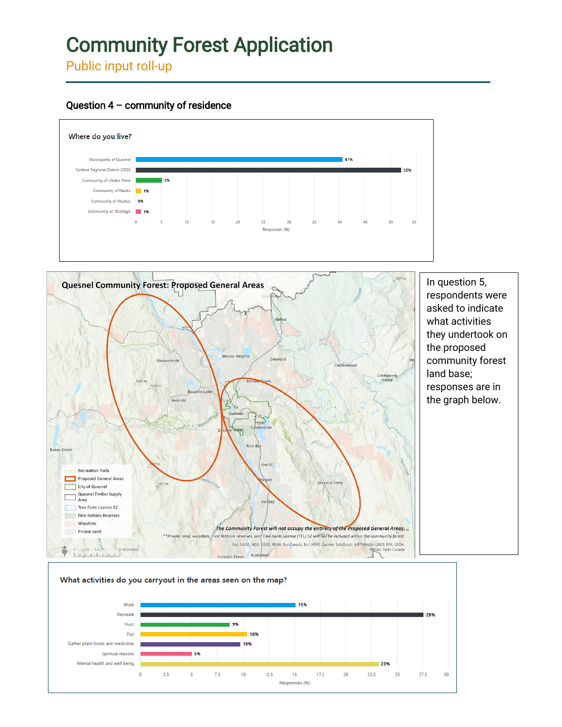Public input roll-up





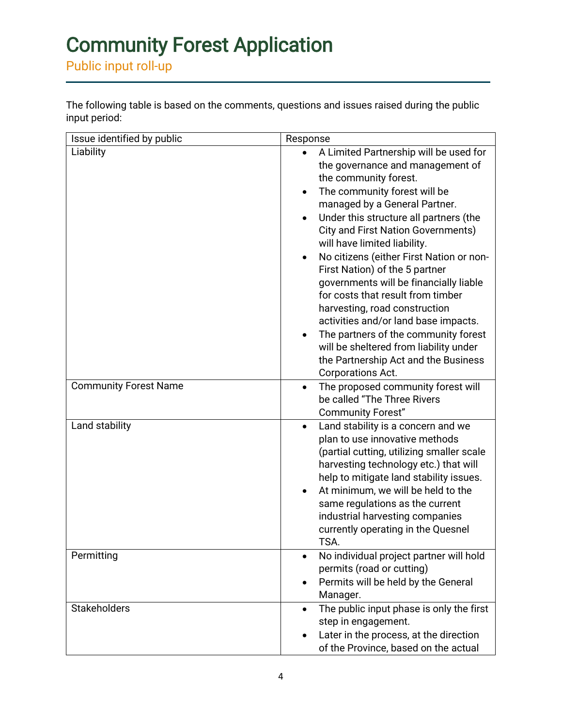Public input roll-up

The following table is based on the comments, questions and issues raised during the public input period:

| Issue identified by public   | Response                                                                                                                                                                                                                                                                                                                                                                                                                                                                                                                                                                                                                                                                                                                                          |  |  |
|------------------------------|---------------------------------------------------------------------------------------------------------------------------------------------------------------------------------------------------------------------------------------------------------------------------------------------------------------------------------------------------------------------------------------------------------------------------------------------------------------------------------------------------------------------------------------------------------------------------------------------------------------------------------------------------------------------------------------------------------------------------------------------------|--|--|
| Liability                    | A Limited Partnership will be used for<br>$\bullet$<br>the governance and management of<br>the community forest.<br>The community forest will be<br>$\bullet$<br>managed by a General Partner.<br>Under this structure all partners (the<br>$\bullet$<br><b>City and First Nation Governments)</b><br>will have limited liability.<br>No citizens (either First Nation or non-<br>$\bullet$<br>First Nation) of the 5 partner<br>governments will be financially liable<br>for costs that result from timber<br>harvesting, road construction<br>activities and/or land base impacts.<br>The partners of the community forest<br>$\bullet$<br>will be sheltered from liability under<br>the Partnership Act and the Business<br>Corporations Act. |  |  |
| <b>Community Forest Name</b> | The proposed community forest will<br>$\bullet$<br>be called "The Three Rivers<br><b>Community Forest"</b>                                                                                                                                                                                                                                                                                                                                                                                                                                                                                                                                                                                                                                        |  |  |
| Land stability               | Land stability is a concern and we<br>$\bullet$<br>plan to use innovative methods<br>(partial cutting, utilizing smaller scale<br>harvesting technology etc.) that will<br>help to mitigate land stability issues.<br>At minimum, we will be held to the<br>$\bullet$<br>same regulations as the current<br>industrial harvesting companies<br>currently operating in the Quesnel<br>TSA.                                                                                                                                                                                                                                                                                                                                                         |  |  |
| Permitting                   | No individual project partner will hold<br>permits (road or cutting)<br>Permits will be held by the General<br>Manager.                                                                                                                                                                                                                                                                                                                                                                                                                                                                                                                                                                                                                           |  |  |
| <b>Stakeholders</b>          | The public input phase is only the first<br>$\bullet$<br>step in engagement.<br>Later in the process, at the direction<br>of the Province, based on the actual                                                                                                                                                                                                                                                                                                                                                                                                                                                                                                                                                                                    |  |  |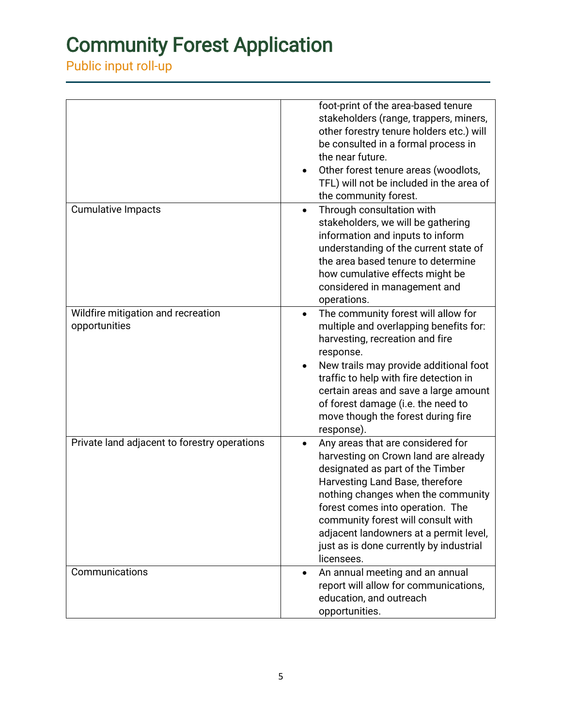Public input roll-up

|                                                     | foot-print of the area-based tenure<br>stakeholders (range, trappers, miners,<br>other forestry tenure holders etc.) will<br>be consulted in a formal process in<br>the near future.<br>Other forest tenure areas (woodlots,<br>TFL) will not be included in the area of<br>the community forest.                                                                   |
|-----------------------------------------------------|---------------------------------------------------------------------------------------------------------------------------------------------------------------------------------------------------------------------------------------------------------------------------------------------------------------------------------------------------------------------|
| <b>Cumulative Impacts</b>                           | Through consultation with<br>$\bullet$<br>stakeholders, we will be gathering<br>information and inputs to inform<br>understanding of the current state of<br>the area based tenure to determine<br>how cumulative effects might be<br>considered in management and<br>operations.                                                                                   |
| Wildfire mitigation and recreation<br>opportunities | The community forest will allow for<br>$\bullet$<br>multiple and overlapping benefits for:<br>harvesting, recreation and fire<br>response.<br>New trails may provide additional foot<br>traffic to help with fire detection in<br>certain areas and save a large amount<br>of forest damage (i.e. the need to<br>move though the forest during fire<br>response).   |
| Private land adjacent to forestry operations        | Any areas that are considered for<br>harvesting on Crown land are already<br>designated as part of the Timber<br>Harvesting Land Base, therefore<br>nothing changes when the community<br>forest comes into operation. The<br>community forest will consult with<br>adjacent landowners at a permit level,<br>just as is done currently by industrial<br>licensees. |
| Communications                                      | An annual meeting and an annual<br>$\bullet$<br>report will allow for communications,<br>education, and outreach<br>opportunities.                                                                                                                                                                                                                                  |